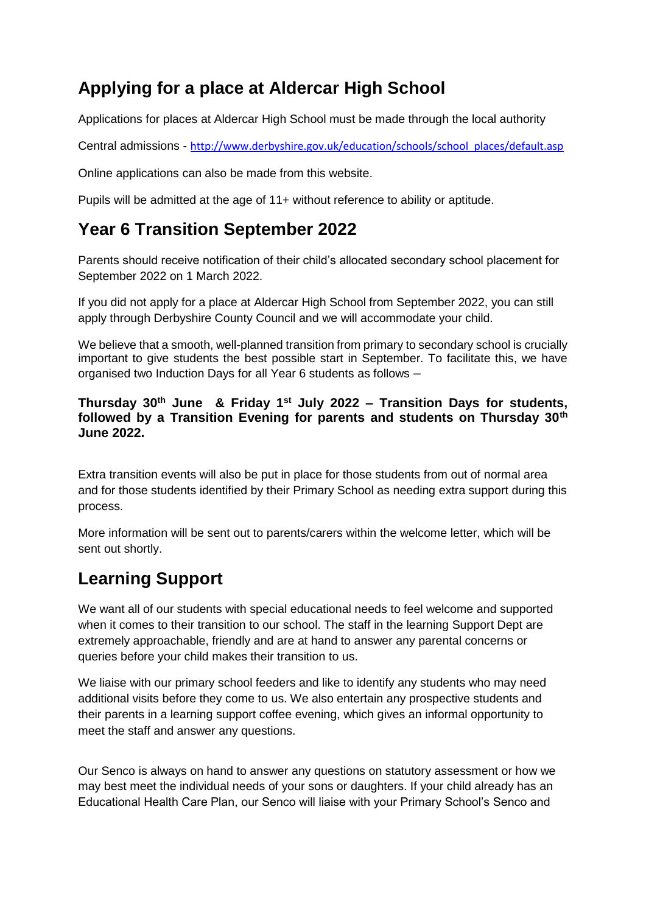## **Applying for a place at Aldercar High School**

Applications for places at Aldercar High School must be made through the local authority

Central admissions - [http://www.derbyshire.gov.uk/education/schools/school\\_places/default.asp](http://www.derbyshire.gov.uk/education/schools/school_places/default.asp)

Online applications can also be made from this website.

Pupils will be admitted at the age of 11+ without reference to ability or aptitude.

#### **Year 6 Transition September 2022**

Parents should receive notification of their child's allocated secondary school placement for September 2022 on 1 March 2022.

If you did not apply for a place at Aldercar High School from September 2022, you can still apply through Derbyshire County Council and we will accommodate your child.

We believe that a smooth, well-planned transition from primary to secondary school is crucially important to give students the best possible start in September. To facilitate this, we have organised two Induction Days for all Year 6 students as follows –

#### **Thursday 30th June & Friday 1st July 2022 – Transition Days for students, followed by a Transition Evening for parents and students on Thursday 30th June 2022.**

Extra transition events will also be put in place for those students from out of normal area and for those students identified by their Primary School as needing extra support during this process.

More information will be sent out to parents/carers within the welcome letter, which will be sent out shortly.

# **Learning Support**

We want all of our students with special educational needs to feel welcome and supported when it comes to their transition to our school. The staff in the learning Support Dept are extremely approachable, friendly and are at hand to answer any parental concerns or queries before your child makes their transition to us.

We liaise with our primary school feeders and like to identify any students who may need additional visits before they come to us. We also entertain any prospective students and their parents in a learning support coffee evening, which gives an informal opportunity to meet the staff and answer any questions.

Our Senco is always on hand to answer any questions on statutory assessment or how we may best meet the individual needs of your sons or daughters. If your child already has an Educational Health Care Plan, our Senco will liaise with your Primary School's Senco and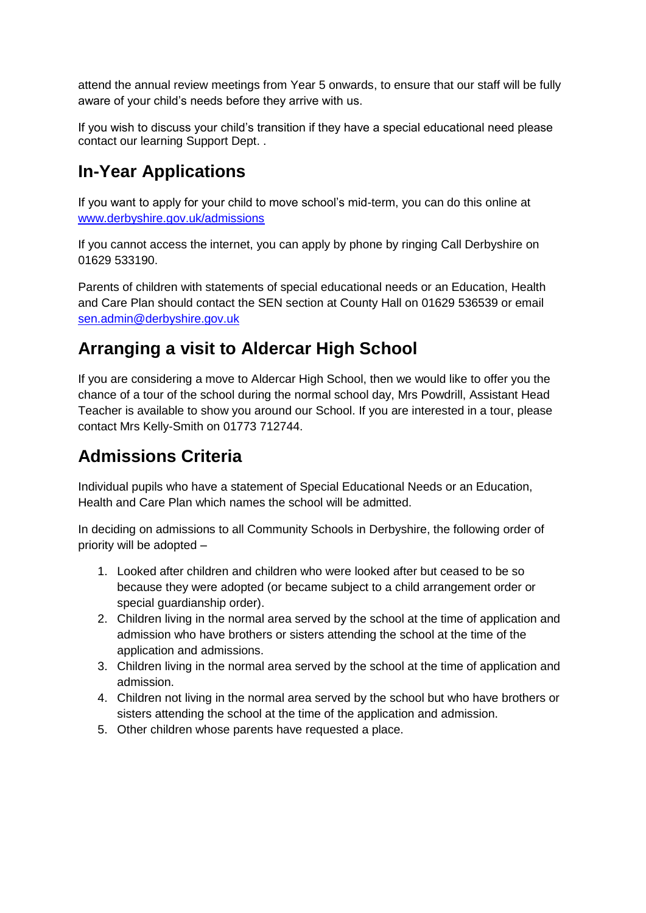attend the annual review meetings from Year 5 onwards, to ensure that our staff will be fully aware of your child's needs before they arrive with us.

If you wish to discuss your child's transition if they have a special educational need please contact our learning Support Dept. .

## **In-Year Applications**

If you want to apply for your child to move school's mid-term, you can do this online at [www.derbyshire.gov.uk/admissions](http://www.derbyshire.gov.uk/admissions)

If you cannot access the internet, you can apply by phone by ringing Call Derbyshire on 01629 533190.

Parents of children with statements of special educational needs or an Education, Health and Care Plan should contact the SEN section at County Hall on 01629 536539 or email [sen.admin@derbyshire.gov.uk](mailto:sen.admin@derbyshire.gov.uk)

## **Arranging a visit to Aldercar High School**

If you are considering a move to Aldercar High School, then we would like to offer you the chance of a tour of the school during the normal school day, Mrs Powdrill, Assistant Head Teacher is available to show you around our School. If you are interested in a tour, please contact Mrs Kelly-Smith on 01773 712744.

# **Admissions Criteria**

Individual pupils who have a statement of Special Educational Needs or an Education, Health and Care Plan which names the school will be admitted.

In deciding on admissions to all Community Schools in Derbyshire, the following order of priority will be adopted –

- 1. Looked after children and children who were looked after but ceased to be so because they were adopted (or became subject to a child arrangement order or special guardianship order).
- 2. Children living in the normal area served by the school at the time of application and admission who have brothers or sisters attending the school at the time of the application and admissions.
- 3. Children living in the normal area served by the school at the time of application and admission.
- 4. Children not living in the normal area served by the school but who have brothers or sisters attending the school at the time of the application and admission.
- 5. Other children whose parents have requested a place.